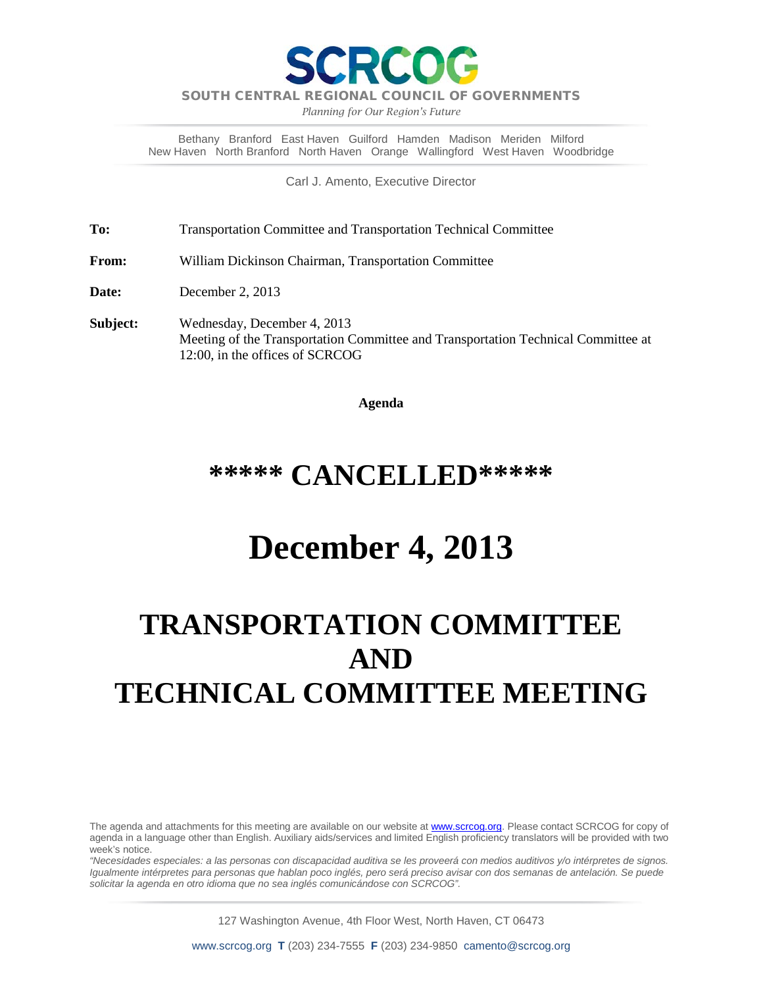

SOUTH CENTRAL REGIONAL COUNCIL OF GOVERNMENTS

*Planning for Our Region's Future*

Bethany Branford East Haven Guilford Hamden Madison Meriden Milford New Haven North Branford North Haven Orange Wallingford West Haven Woodbridge

Carl J. Amento, Executive Director

**To:** Transportation Committee and Transportation Technical Committee

**From:** William Dickinson Chairman, Transportation Committee

**Date:** December 2, 2013

**Subject:** Wednesday, December 4, 2013 Meeting of the Transportation Committee and Transportation Technical Committee at 12:00, in the offices of SCRCOG

**Agenda**

## **\*\*\*\*\* CANCELLED\*\*\*\*\***

## **December 4, 2013**

## **TRANSPORTATION COMMITTEE AND TECHNICAL COMMITTEE MEETING**

The agenda and attachments for this meeting are available on our website at [www.scrcog.org.](http://www.scrcog.org/) Please contact SCRCOG for copy of agenda in a language other than English. Auxiliary aids/services and limited English proficiency translators will be provided with two week's notice.

*"Necesidades especiales: a las personas con discapacidad auditiva se les proveerá con medios auditivos y/o intérpretes de signos. Igualmente intérpretes para personas que hablan poco inglés, pero será preciso avisar con dos semanas de antelación. Se puede solicitar la agenda en otro idioma que no sea inglés comunicándose con SCRCOG".*

127 Washington Avenue, 4th Floor West, North Haven, CT 06473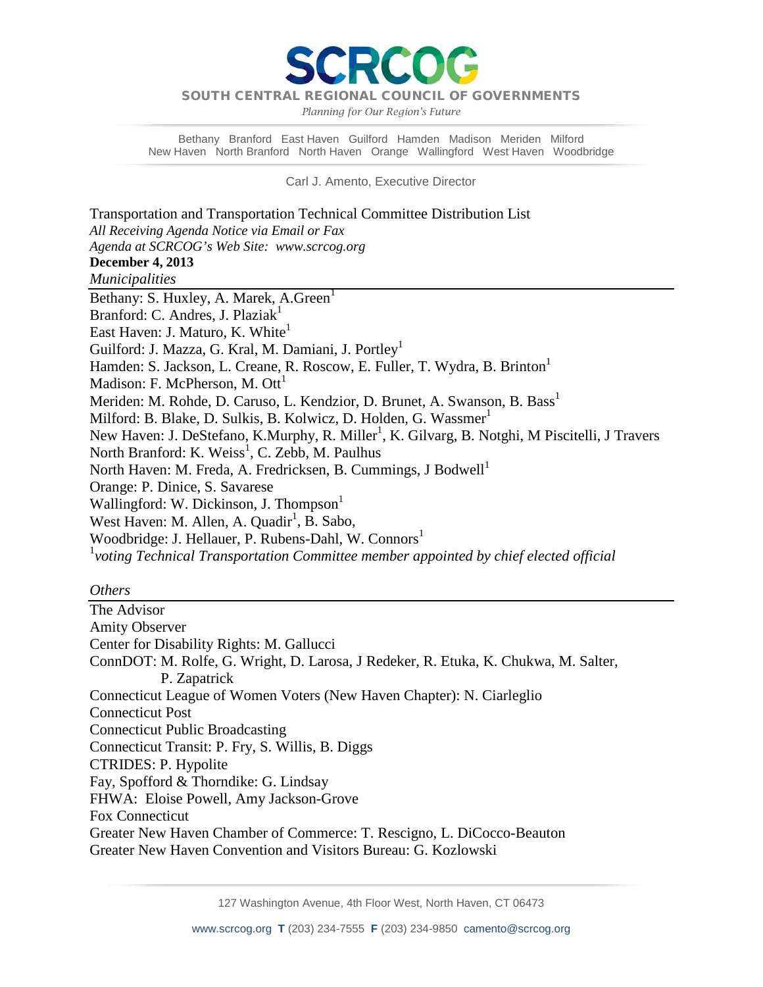SOUTH CENTRAL REGIONAL COUNCIL OF GOVERNMENTS

PCC

*Planning for Our Region's Future*

Bethany Branford East Haven Guilford Hamden Madison Meriden Milford New Haven North Branford North Haven Orange Wallingford West Haven Woodbridge

Carl J. Amento, Executive Director

Transportation and Transportation Technical Committee Distribution List *All Receiving Agenda Notice via Email or Fax Agenda at SCRCOG's Web Site: www.scrcog.org* **December 4, 2013** *Municipalities*  Bethany: S. Huxley, A. Marek, A. Green<sup>1</sup> Branford: C. Andres, J. Plazia $k<sup>1</sup>$ East Haven: J. Maturo, K. White<sup>1</sup> Guilford: J. Mazza, G. Kral, M. Damiani, J. Portley<sup>1</sup> Hamden: S. Jackson, L. Creane, R. Roscow, E. Fuller, T. Wydra, B. Brinton<sup>1</sup> Madison: F. McPherson, M.  $\text{Ott}^1$ Meriden: M. Rohde, D. Caruso, L. Kendzior, D. Brunet, A. Swanson, B. Bass<sup>1</sup> Milford: B. Blake, D. Sulkis, B. Kolwicz, D. Holden, G. Wassmer<sup>1</sup> New Haven: J. DeStefano, K.Murphy, R. Miller<sup>1</sup>, K. Gilvarg, B. Notghi, M Piscitelli, J Travers North Branford: K. Weiss<sup>1</sup>, C. Zebb, M. Paulhus North Haven: M. Freda, A. Fredricksen, B. Cummings, J Bodwell<sup>1</sup> Orange: P. Dinice, S. Savarese Wallingford: W. Dickinson, J. Thompson<sup>1</sup> West Haven: M. Allen, A. Quadir<sup>1</sup>, B. Sabo, Woodbridge: J. Hellauer, P. Rubens-Dahl, W. Connors<sup>1</sup> 1 *voting Technical Transportation Committee member appointed by chief elected official*

## *Others*

The Advisor Amity Observer Center for Disability Rights: M. Gallucci ConnDOT: M. Rolfe, G. Wright, D. Larosa, J Redeker, R. Etuka, K. Chukwa, M. Salter, P. Zapatrick Connecticut League of Women Voters (New Haven Chapter): N. Ciarleglio Connecticut Post Connecticut Public Broadcasting Connecticut Transit: P. Fry, S. Willis, B. Diggs CTRIDES: P. Hypolite Fay, Spofford & Thorndike: G. Lindsay FHWA: Eloise Powell, Amy Jackson-Grove Fox Connecticut Greater New Haven Chamber of Commerce: T. Rescigno, L. DiCocco-Beauton Greater New Haven Convention and Visitors Bureau: G. Kozlowski